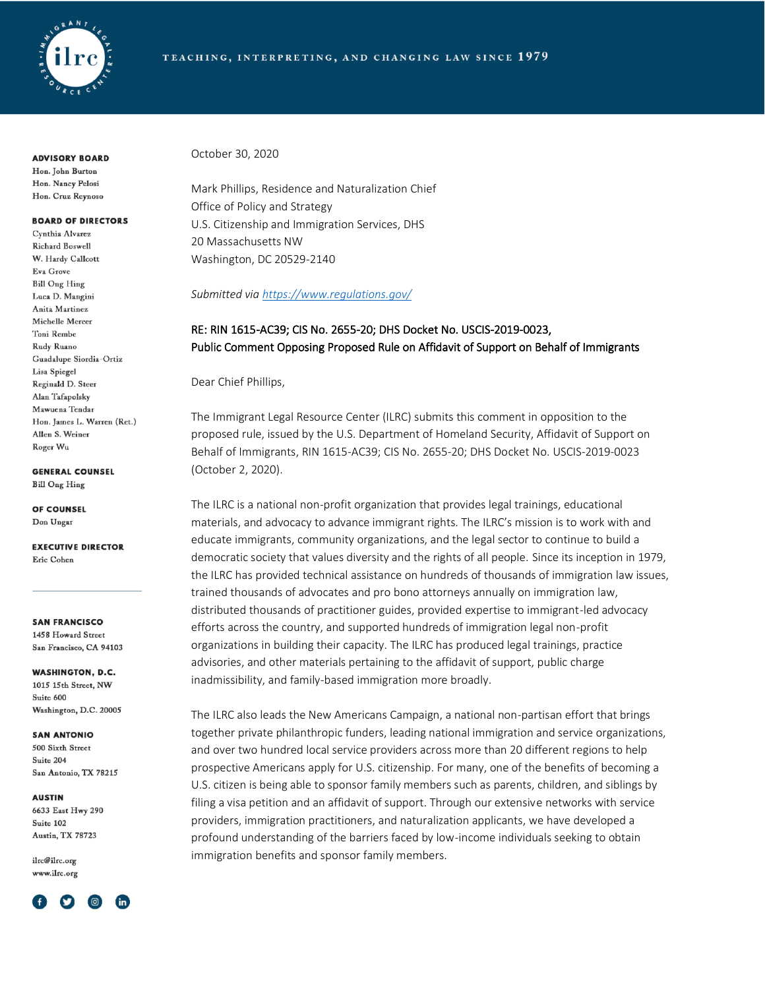

**ADVISORY BOARD** 

Hon. John Burton Hon. Nancy Pelosi Hon. Cruz Reynoso

#### **BOARD OF DIRECTORS**

Cynthia Alvarez Richard Boswell W. Hardy Callcott Eva Grove **Bill Ong Hing** Luca D. Mangini Anita Martinez Michelle Mercer Toni Rembe Rudy Ruano Guadalupe Siordia-Ortiz Lisa Spiegel Reginald D. Steer Alan Tafapolsky Mawuena Tendar Hon. James L. Warren (Ret.) Allen S. Weiner Roger Wu

**GENERAL COUNSEL** 

**Bill Ong Hing** 

OF COUNSEL Don Ungar

**EXECUTIVE DIRECTOR** Eric Cohen

**SAN FRANCISCO** 1458 Howard Street San Francisco, CA 94103

**WASHINGTON, D.C.** 1015 15th Street, NW Suite 600 Washington, D.C. 20005

**SAN ANTONIO** 500 Sixth Street

Suite 204 San Antonio, TX 78215

**AUSTIN** 

6633 East Hwy 290 Suite 102 Austin, TX 78723

ilrc@ilrc.org www.ilrc.org



October 30, 2020

Mark Phillips, Residence and Naturalization Chief Office of Policy and Strategy U.S. Citizenship and Immigration Services, DHS 20 Massachusetts NW Washington, DC 20529-2140

*Submitted via<https://www.regulations.gov/>*

# RE: RIN 1615-AC39; CIS No. 2655-20; DHS Docket No. USCIS-2019-0023, Public Comment Opposing Proposed Rule on Affidavit of Support on Behalf of Immigrants

Dear Chief Phillips,

The Immigrant Legal Resource Center (ILRC) submits this comment in opposition to the proposed rule, issued by the U.S. Department of Homeland Security, Affidavit of Support on Behalf of Immigrants, RIN 1615-AC39; CIS No. 2655-20; DHS Docket No. USCIS-2019-0023 (October 2, 2020).

The ILRC is a national non-profit organization that provides legal trainings, educational materials, and advocacy to advance immigrant rights. The ILRC's mission is to work with and educate immigrants, community organizations, and the legal sector to continue to build a democratic society that values diversity and the rights of all people. Since its inception in 1979, the ILRC has provided technical assistance on hundreds of thousands of immigration law issues, trained thousands of advocates and pro bono attorneys annually on immigration law, distributed thousands of practitioner guides, provided expertise to immigrant-led advocacy efforts across the country, and supported hundreds of immigration legal non-profit organizations in building their capacity. The ILRC has produced legal trainings, practice advisories, and other materials pertaining to the affidavit of support, public charge inadmissibility, and family-based immigration more broadly.

The ILRC also leads the New Americans Campaign, a national non-partisan effort that brings together private philanthropic funders, leading national immigration and service organizations, and over two hundred local service providers across more than 20 different regions to help prospective Americans apply for U.S. citizenship. For many, one of the benefits of becoming a U.S. citizen is being able to sponsor family members such as parents, children, and siblings by filing a visa petition and an affidavit of support. Through our extensive networks with service providers, immigration practitioners, and naturalization applicants, we have developed a profound understanding of the barriers faced by low-income individuals seeking to obtain immigration benefits and sponsor family members.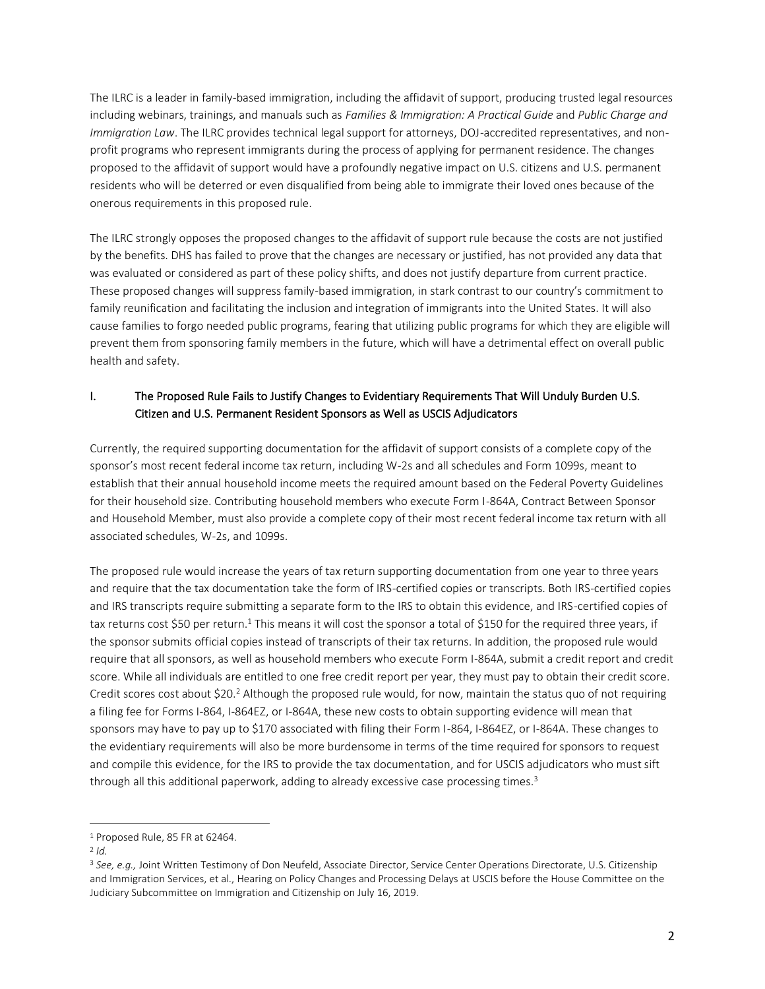The ILRC is a leader in family-based immigration, including the affidavit of support, producing trusted legal resources including webinars, trainings, and manuals such as *Families & Immigration: A Practical Guide* and *Public Charge and Immigration Law*. The ILRC provides technical legal support for attorneys, DOJ-accredited representatives, and nonprofit programs who represent immigrants during the process of applying for permanent residence. The changes proposed to the affidavit of support would have a profoundly negative impact on U.S. citizens and U.S. permanent residents who will be deterred or even disqualified from being able to immigrate their loved ones because of the onerous requirements in this proposed rule.

The ILRC strongly opposes the proposed changes to the affidavit of support rule because the costs are not justified by the benefits. DHS has failed to prove that the changes are necessary or justified, has not provided any data that was evaluated or considered as part of these policy shifts, and does not justify departure from current practice. These proposed changes will suppress family-based immigration, in stark contrast to our country's commitment to family reunification and facilitating the inclusion and integration of immigrants into the United States. It will also cause families to forgo needed public programs, fearing that utilizing public programs for which they are eligible will prevent them from sponsoring family members in the future, which will have a detrimental effect on overall public health and safety.

## I. The Proposed Rule Fails to Justify Changes to Evidentiary Requirements That Will Unduly Burden U.S. Citizen and U.S. Permanent Resident Sponsors as Well as USCIS Adjudicators

Currently, the required supporting documentation for the affidavit of support consists of a complete copy of the sponsor's most recent federal income tax return, including W-2s and all schedules and Form 1099s, meant to establish that their annual household income meets the required amount based on the Federal Poverty Guidelines for their household size. Contributing household members who execute Form I-864A, Contract Between Sponsor and Household Member, must also provide a complete copy of their most recent federal income tax return with all associated schedules, W-2s, and 1099s.

The proposed rule would increase the years of tax return supporting documentation from one year to three years and require that the tax documentation take the form of IRS-certified copies or transcripts. Both IRS-certified copies and IRS transcripts require submitting a separate form to the IRS to obtain this evidence, and IRS-certified copies of tax returns cost \$50 per return.<sup>1</sup> This means it will cost the sponsor a total of \$150 for the required three years, if the sponsor submits official copies instead of transcripts of their tax returns. In addition, the proposed rule would require that all sponsors, as well as household members who execute Form I-864A, submit a credit report and credit score. While all individuals are entitled to one free credit report per year, they must pay to obtain their credit score. Credit scores cost about \$20.<sup>2</sup> Although the proposed rule would, for now, maintain the status quo of not requiring a filing fee for Forms I-864, I-864EZ, or I-864A, these new costs to obtain supporting evidence will mean that sponsors may have to pay up to \$170 associated with filing their Form I-864, I-864EZ, or I-864A. These changes to the evidentiary requirements will also be more burdensome in terms of the time required for sponsors to request and compile this evidence, for the IRS to provide the tax documentation, and for USCIS adjudicators who must sift through all this additional paperwork, adding to already excessive case processing times.<sup>3</sup>

<sup>1</sup> Proposed Rule, 85 FR at 62464.

<sup>2</sup> *Id.*

<sup>3</sup> *See, e.g.,* Joint Written Testimony of Don Neufeld, Associate Director, Service Center Operations Directorate, U.S. Citizenship and Immigration Services, et al., Hearing on Policy Changes and Processing Delays at USCIS before the House Committee on the Judiciary Subcommittee on Immigration and Citizenship on July 16, 2019.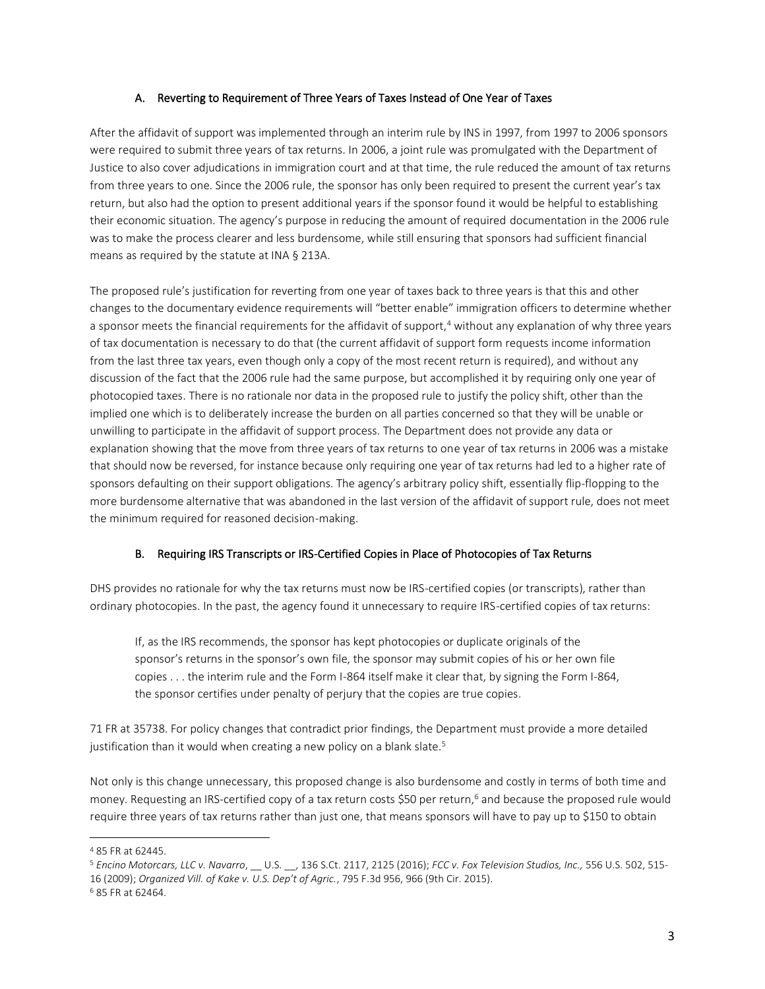## A. Reverting to Requirement of Three Years of Taxes Instead of One Year of Taxes

After the affidavit of support was implemented through an interim rule by INS in 1997, from 1997 to 2006 sponsors were required to submit three years of tax returns. In 2006, a joint rule was promulgated with the Department of Justice to also cover adjudications in immigration court and at that time, the rule reduced the amount of tax returns from three years to one. Since the 2006 rule, the sponsor has only been required to present the current year's tax return, but also had the option to present additional years if the sponsor found it would be helpful to establishing their economic situation. The agency's purpose in reducing the amount of required documentation in the 2006 rule was to make the process clearer and less burdensome, while still ensuring that sponsors had sufficient financial means as required by the statute at INA § 213A.

The proposed rule's justification for reverting from one year of taxes back to three years is that this and other changes to the documentary evidence requirements will "better enable" immigration officers to determine whether a sponsor meets the financial requirements for the affidavit of support,<sup>4</sup> without any explanation of why three years of tax documentation is necessary to do that (the current affidavit of support form requests income information from the last three tax years, even though only a copy of the most recent return is required), and without any discussion of the fact that the 2006 rule had the same purpose, but accomplished it by requiring only one year of photocopied taxes. There is no rationale nor data in the proposed rule to justify the policy shift, other than the implied one which is to deliberately increase the burden on all parties concerned so that they will be unable or unwilling to participate in the affidavit of support process. The Department does not provide any data or explanation showing that the move from three years of tax returns to one year of tax returns in 2006 was a mistake that should now be reversed, for instance because only requiring one year of tax returns had led to a higher rate of sponsors defaulting on their support obligations. The agency's arbitrary policy shift, essentially flip-flopping to the more burdensome alternative that was abandoned in the last version of the affidavit of support rule, does not meet the minimum required for reasoned decision-making.

## B. Requiring IRS Transcripts or IRS-Certified Copies in Place of Photocopies of Tax Returns

DHS provides no rationale for why the tax returns must now be IRS-certified copies (or transcripts), rather than ordinary photocopies. In the past, the agency found it unnecessary to require IRS-certified copies of tax returns:

If, as the IRS recommends, the sponsor has kept photocopies or duplicate originals of the sponsor's returns in the sponsor's own file, the sponsor may submit copies of his or her own file copies . . . the interim rule and the Form I-864 itself make it clear that, by signing the Form I-864, the sponsor certifies under penalty of perjury that the copies are true copies.

71 FR at 35738. For policy changes that contradict prior findings, the Department must provide a more detailed justification than it would when creating a new policy on a blank slate.<sup>5</sup>

Not only is this change unnecessary, this proposed change is also burdensome and costly in terms of both time and money. Requesting an IRS-certified copy of a tax return costs \$50 per return,<sup>6</sup> and because the proposed rule would require three years of tax returns rather than just one, that means sponsors will have to pay up to \$150 to obtain

<sup>4</sup> 85 FR at 62445.

<sup>5</sup> *Encino Motorcars, LLC v. Navarro*, \_\_ U.S. \_\_, 136 S.Ct. 2117, 2125 (2016); *FCC v. Fox Television Studios, Inc.,* 556 U.S. 502, 515- 16 (2009); *Organized Vill. of Kake v. U.S. Dep't of Agric.*, 795 F.3d 956, 966 (9th Cir. 2015).

<sup>6</sup> 85 FR at 62464.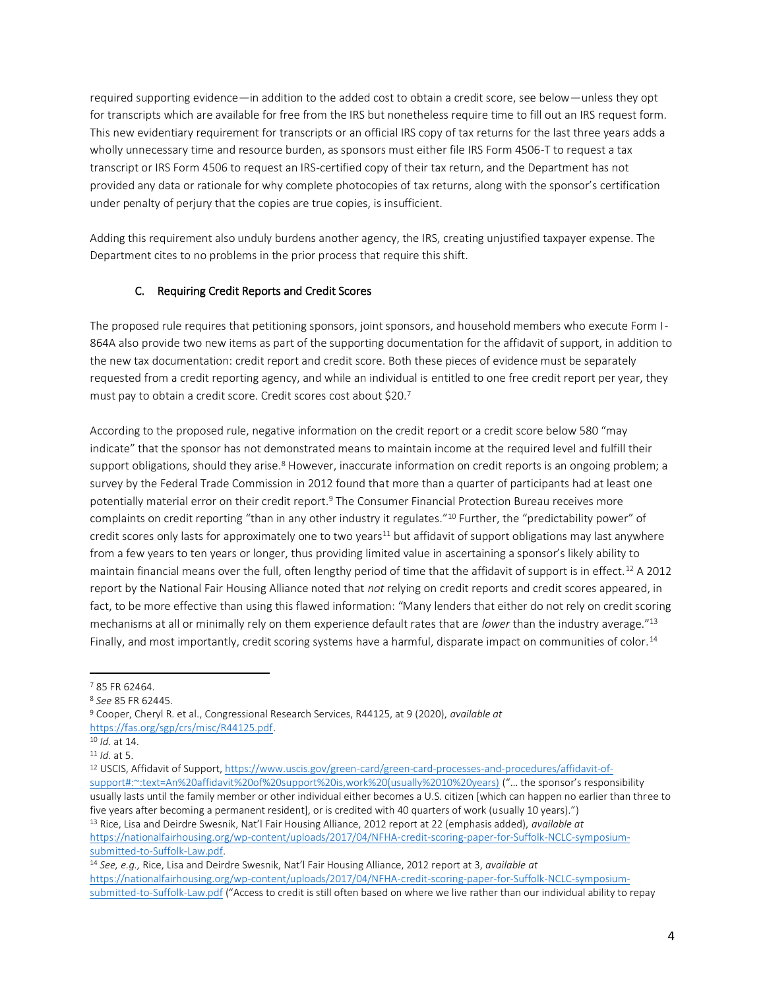required supporting evidence—in addition to the added cost to obtain a credit score, see below—unless they opt for transcripts which are available for free from the IRS but nonetheless require time to fill out an IRS request form. This new evidentiary requirement for transcripts or an official IRS copy of tax returns for the last three years adds a wholly unnecessary time and resource burden, as sponsors must either file IRS Form 4506-T to request a tax transcript or IRS Form 4506 to request an IRS-certified copy of their tax return, and the Department has not provided any data or rationale for why complete photocopies of tax returns, along with the sponsor's certification under penalty of perjury that the copies are true copies, is insufficient.

Adding this requirement also unduly burdens another agency, the IRS, creating unjustified taxpayer expense. The Department cites to no problems in the prior process that require this shift.

## C. Requiring Credit Reports and Credit Scores

The proposed rule requires that petitioning sponsors, joint sponsors, and household members who execute Form I-864A also provide two new items as part of the supporting documentation for the affidavit of support, in addition to the new tax documentation: credit report and credit score. Both these pieces of evidence must be separately requested from a credit reporting agency, and while an individual is entitled to one free credit report per year, they must pay to obtain a credit score. Credit scores cost about \$20.<sup>7</sup>

According to the proposed rule, negative information on the credit report or a credit score below 580 "may indicate" that the sponsor has not demonstrated means to maintain income at the required level and fulfill their support obligations, should they arise.<sup>8</sup> However, inaccurate information on credit reports is an ongoing problem; a survey by the Federal Trade Commission in 2012 found that more than a quarter of participants had at least one potentially material error on their credit report.<sup>9</sup> The Consumer Financial Protection Bureau receives more complaints on credit reporting "than in any other industry it regulates."<sup>10</sup> Further, the "predictability power" of credit scores only lasts for approximately one to two years<sup>11</sup> but affidavit of support obligations may last anywhere from a few years to ten years or longer, thus providing limited value in ascertaining a sponsor's likely ability to maintain financial means over the full, often lengthy period of time that the affidavit of support is in effect.<sup>12</sup> A 2012 report by the National Fair Housing Alliance noted that *not* relying on credit reports and credit scores appeared, in fact, to be more effective than using this flawed information: "Many lenders that either do not rely on credit scoring mechanisms at all or minimally rely on them experience default rates that are *lower* than the industry average."<sup>13</sup> Finally, and most importantly, credit scoring systems have a harmful, disparate impact on communities of color.<sup>14</sup>

<sup>9</sup> Cooper, Cheryl R. et al., Congressional Research Services, R44125, at 9 (2020), *available at* [https://fas.org/sgp/crs/misc/R44125.pdf.](https://fas.org/sgp/crs/misc/R44125.pdf) 

[https://nationalfairhousing.org/wp-content/uploads/2017/04/NFHA-credit-scoring-paper-for-Suffolk-NCLC-symposium](https://nationalfairhousing.org/wp-content/uploads/2017/04/NFHA-credit-scoring-paper-for-Suffolk-NCLC-symposium-submitted-to-Suffolk-Law.pdf)[submitted-to-Suffolk-Law.pdf.](https://nationalfairhousing.org/wp-content/uploads/2017/04/NFHA-credit-scoring-paper-for-Suffolk-NCLC-symposium-submitted-to-Suffolk-Law.pdf)

<sup>7</sup> 85 FR 62464.

<sup>8</sup> *See* 85 FR 62445.

<sup>10</sup> *Id.* at 14.

<sup>11</sup> *Id.* at 5.

<sup>12</sup> USCIS, Affidavit of Support[, https://www.uscis.gov/green-card/green-card-processes-and-procedures/affidavit-of](https://www.uscis.gov/green-card/green-card-processes-and-procedures/affidavit-of-support#:~:text=An%20affidavit%20of%20support%20is,work%20(usually%2010%20years))[support#:~:text=An%20affidavit%20of%20support%20is,work%20\(usually%2010%20years\)](https://www.uscis.gov/green-card/green-card-processes-and-procedures/affidavit-of-support#:~:text=An%20affidavit%20of%20support%20is,work%20(usually%2010%20years)) ("… the sponsor's responsibility usually lasts until the family member or other individual either becomes a U.S. citizen [which can happen no earlier than three to five years after becoming a permanent resident], or is credited with 40 quarters of work (usually 10 years).") <sup>13</sup> Rice, Lisa and Deirdre Swesnik, Nat'l Fair Housing Alliance, 2012 report at 22 (emphasis added), *available at* 

<sup>14</sup> *See, e.g.,* Rice, Lisa and Deirdre Swesnik, Nat'l Fair Housing Alliance, 2012 report at 3, *available at*  [https://nationalfairhousing.org/wp-content/uploads/2017/04/NFHA-credit-scoring-paper-for-Suffolk-NCLC-symposium](https://nationalfairhousing.org/wp-content/uploads/2017/04/NFHA-credit-scoring-paper-for-Suffolk-NCLC-symposium-submitted-to-Suffolk-Law.pdf)[submitted-to-Suffolk-Law.pdf](https://nationalfairhousing.org/wp-content/uploads/2017/04/NFHA-credit-scoring-paper-for-Suffolk-NCLC-symposium-submitted-to-Suffolk-Law.pdf) ("Access to credit is still often based on where we live rather than our individual ability to repay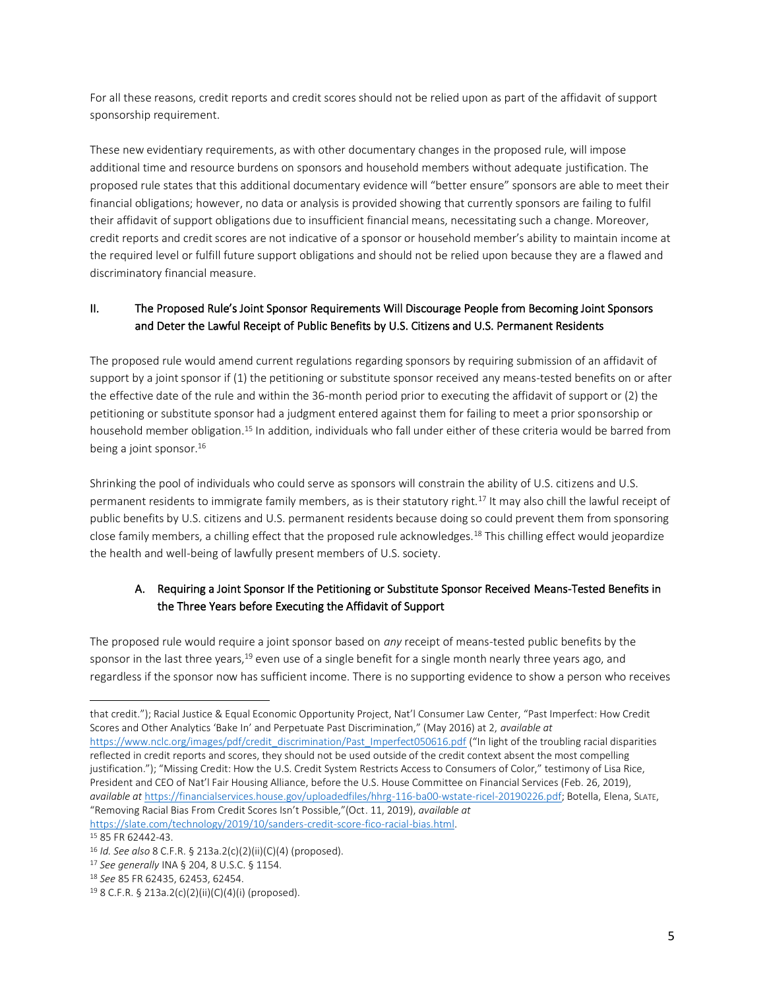For all these reasons, credit reports and credit scores should not be relied upon as part of the affidavit of support sponsorship requirement.

These new evidentiary requirements, as with other documentary changes in the proposed rule, will impose additional time and resource burdens on sponsors and household members without adequate justification. The proposed rule states that this additional documentary evidence will "better ensure" sponsors are able to meet their financial obligations; however, no data or analysis is provided showing that currently sponsors are failing to fulfil their affidavit of support obligations due to insufficient financial means, necessitating such a change. Moreover, credit reports and credit scores are not indicative of a sponsor or household member's ability to maintain income at the required level or fulfill future support obligations and should not be relied upon because they are a flawed and discriminatory financial measure.

## II. The Proposed Rule's Joint Sponsor Requirements Will Discourage People from Becoming Joint Sponsors and Deter the Lawful Receipt of Public Benefits by U.S. Citizens and U.S. Permanent Residents

The proposed rule would amend current regulations regarding sponsors by requiring submission of an affidavit of support by a joint sponsor if (1) the petitioning or substitute sponsor received any means-tested benefits on or after the effective date of the rule and within the 36-month period prior to executing the affidavit of support or (2) the petitioning or substitute sponsor had a judgment entered against them for failing to meet a prior sponsorship or household member obligation.<sup>15</sup> In addition, individuals who fall under either of these criteria would be barred from being a joint sponsor.<sup>16</sup>

Shrinking the pool of individuals who could serve as sponsors will constrain the ability of U.S. citizens and U.S. permanent residents to immigrate family members, as is their statutory right.<sup>17</sup> It may also chill the lawful receipt of public benefits by U.S. citizens and U.S. permanent residents because doing so could prevent them from sponsoring close family members, a chilling effect that the proposed rule acknowledges.<sup>18</sup> This chilling effect would jeopardize the health and well-being of lawfully present members of U.S. society.

# A. Requiring a Joint Sponsor If the Petitioning or Substitute Sponsor Received Means-Tested Benefits in the Three Years before Executing the Affidavit of Support

The proposed rule would require a joint sponsor based on *any* receipt of means-tested public benefits by the sponsor in the last three years,<sup>19</sup> even use of a single benefit for a single month nearly three years ago, and regardless if the sponsor now has sufficient income. There is no supporting evidence to show a person who receives

that credit."); Racial Justice & Equal Economic Opportunity Project, Nat'l Consumer Law Center, "Past Imperfect: How Credit Scores and Other Analytics 'Bake In' and Perpetuate Past Discrimination," (May 2016) at 2, *available at*

[https://www.nclc.org/images/pdf/credit\\_discrimination/Past\\_Imperfect050616.pdf](https://www.nclc.org/images/pdf/credit_discrimination/Past_Imperfect050616.pdf) ("In light of the troubling racial disparities reflected in credit reports and scores, they should not be used outside of the credit context absent the most compelling justification."); "Missing Credit: How the U.S. Credit System Restricts Access to Consumers of Color," testimony of Lisa Rice, President and CEO of Nat'l Fair Housing Alliance, before the U.S. House Committee on Financial Services (Feb. 26, 2019), *available at* [https://financialservices.house.gov/uploadedfiles/hhrg-116-ba00-wstate-ricel-20190226.pdf;](https://financialservices.house.gov/uploadedfiles/hhrg-116-ba00-wstate-ricel-20190226.pdf) Botella, Elena, SLATE, "Removing Racial Bias From Credit Scores Isn't Possible,"(Oct. 11, 2019), *available at* 

[https://slate.com/technology/2019/10/sanders-credit-score-fico-racial-bias.html.](https://slate.com/technology/2019/10/sanders-credit-score-fico-racial-bias.html) <sup>15</sup> 85 FR 62442-43.

<sup>16</sup> *Id. See also* 8 C.F.R. § 213a.2(c)(2)(ii)(C)(4) (proposed).

<sup>17</sup> *See generally* INA § 204, 8 U.S.C. § 1154.

<sup>18</sup> *See* 85 FR 62435, 62453, 62454.

 $19$  8 C.F.R. § 213a.2(c)(2)(ii)(C)(4)(i) (proposed).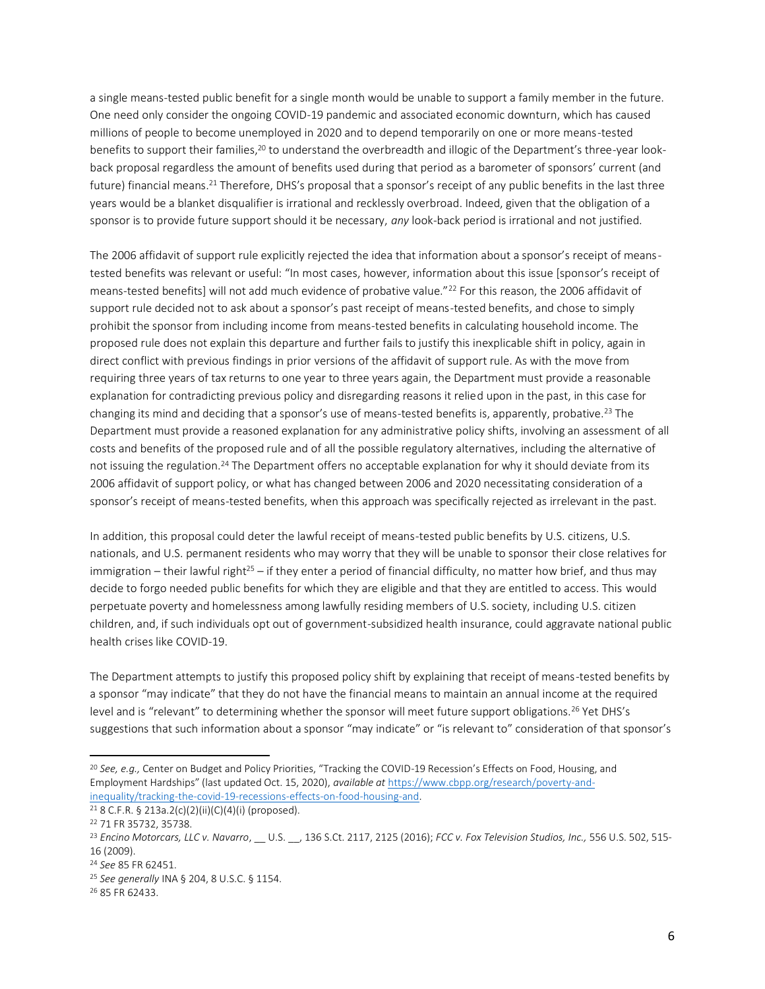a single means-tested public benefit for a single month would be unable to support a family member in the future. One need only consider the ongoing COVID-19 pandemic and associated economic downturn, which has caused millions of people to become unemployed in 2020 and to depend temporarily on one or more means-tested benefits to support their families,<sup>20</sup> to understand the overbreadth and illogic of the Department's three-year lookback proposal regardless the amount of benefits used during that period as a barometer of sponsors' current (and future) financial means.<sup>21</sup> Therefore, DHS's proposal that a sponsor's receipt of any public benefits in the last three years would be a blanket disqualifier is irrational and recklessly overbroad. Indeed, given that the obligation of a sponsor is to provide future support should it be necessary, *any* look-back period is irrational and not justified.

The 2006 affidavit of support rule explicitly rejected the idea that information about a sponsor's receipt of meanstested benefits was relevant or useful: "In most cases, however, information about this issue [sponsor's receipt of means-tested benefits] will not add much evidence of probative value."<sup>22</sup> For this reason, the 2006 affidavit of support rule decided not to ask about a sponsor's past receipt of means-tested benefits, and chose to simply prohibit the sponsor from including income from means-tested benefits in calculating household income. The proposed rule does not explain this departure and further fails to justify this inexplicable shift in policy, again in direct conflict with previous findings in prior versions of the affidavit of support rule. As with the move from requiring three years of tax returns to one year to three years again, the Department must provide a reasonable explanation for contradicting previous policy and disregarding reasons it relied upon in the past, in this case for changing its mind and deciding that a sponsor's use of means-tested benefits is, apparently, probative.<sup>23</sup> The Department must provide a reasoned explanation for any administrative policy shifts, involving an assessment of all costs and benefits of the proposed rule and of all the possible regulatory alternatives, including the alternative of not issuing the regulation.<sup>24</sup> The Department offers no acceptable explanation for why it should deviate from its 2006 affidavit of support policy, or what has changed between 2006 and 2020 necessitating consideration of a sponsor's receipt of means-tested benefits, when this approach was specifically rejected as irrelevant in the past.

In addition, this proposal could deter the lawful receipt of means-tested public benefits by U.S. citizens, U.S. nationals, and U.S. permanent residents who may worry that they will be unable to sponsor their close relatives for immigration – their lawful right<sup>25</sup> – if they enter a period of financial difficulty, no matter how brief, and thus may decide to forgo needed public benefits for which they are eligible and that they are entitled to access. This would perpetuate poverty and homelessness among lawfully residing members of U.S. society, including U.S. citizen children, and, if such individuals opt out of government-subsidized health insurance, could aggravate national public health crises like COVID-19.

The Department attempts to justify this proposed policy shift by explaining that receipt of means-tested benefits by a sponsor "may indicate" that they do not have the financial means to maintain an annual income at the required level and is "relevant" to determining whether the sponsor will meet future support obligations.<sup>26</sup> Yet DHS's suggestions that such information about a sponsor "may indicate" or "is relevant to" consideration of that sponsor's

<sup>20</sup> *See, e.g.,* Center on Budget and Policy Priorities, "Tracking the COVID-19 Recession's Effects on Food, Housing, and Employment Hardships" (last updated Oct. 15, 2020), *available at* [https://www.cbpp.org/research/poverty-and](https://www.cbpp.org/research/poverty-and-inequality/tracking-the-covid-19-recessions-effects-on-food-housing-and)[inequality/tracking-the-covid-19-recessions-effects-on-food-housing-and.](https://www.cbpp.org/research/poverty-and-inequality/tracking-the-covid-19-recessions-effects-on-food-housing-and) 

<sup>21</sup> 8 C.F.R. § 213a.2(c)(2)(ii)(C)(4)(i) (proposed).

<sup>22</sup> 71 FR 35732, 35738.

<sup>23</sup> *Encino Motorcars, LLC v. Navarro*, \_\_ U.S. \_\_, 136 S.Ct. 2117, 2125 (2016); *FCC v. Fox Television Studios, Inc.,* 556 U.S. 502, 515- 16 (2009).

<sup>24</sup> *See* 85 FR 62451.

<sup>25</sup> *See generally* INA § 204, 8 U.S.C. § 1154.

<sup>26</sup> 85 FR 62433.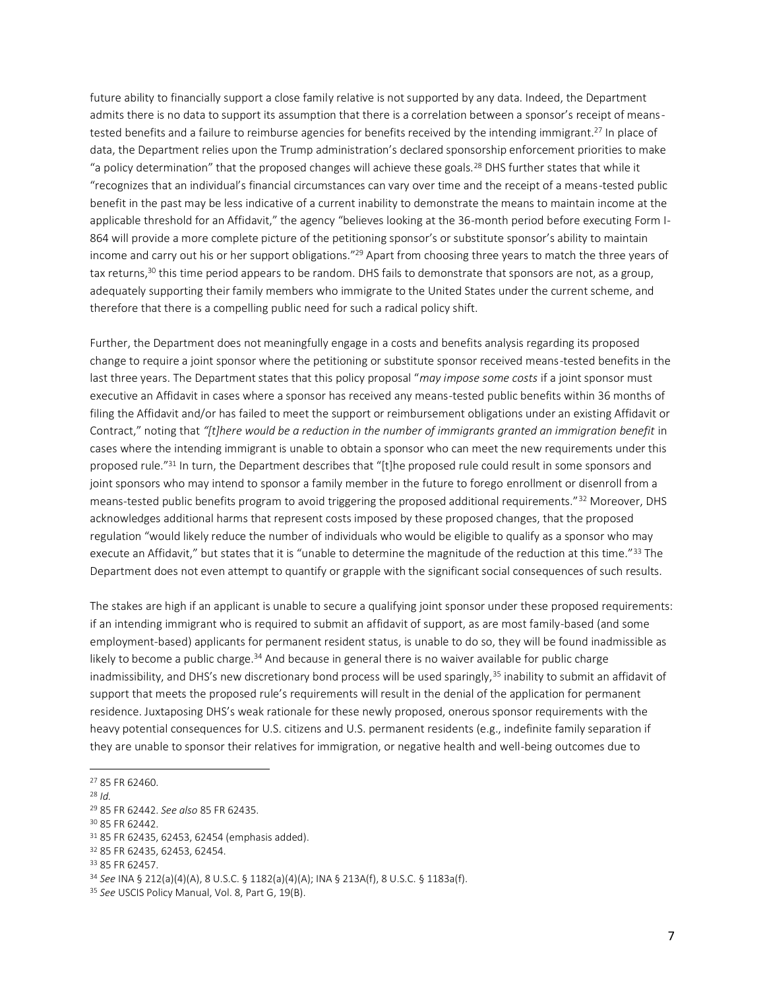future ability to financially support a close family relative is not supported by any data. Indeed, the Department admits there is no data to support its assumption that there is a correlation between a sponsor's receipt of meanstested benefits and a failure to reimburse agencies for benefits received by the intending immigrant.<sup>27</sup> In place of data, the Department relies upon the Trump administration's declared sponsorship enforcement priorities to make "a policy determination" that the proposed changes will achieve these goals.<sup>28</sup> DHS further states that while it "recognizes that an individual's financial circumstances can vary over time and the receipt of a means-tested public benefit in the past may be less indicative of a current inability to demonstrate the means to maintain income at the applicable threshold for an Affidavit," the agency "believes looking at the 36-month period before executing Form I-864 will provide a more complete picture of the petitioning sponsor's or substitute sponsor's ability to maintain income and carry out his or her support obligations."<sup>29</sup> Apart from choosing three years to match the three years of tax returns,<sup>30</sup> this time period appears to be random. DHS fails to demonstrate that sponsors are not, as a group, adequately supporting their family members who immigrate to the United States under the current scheme, and therefore that there is a compelling public need for such a radical policy shift.

Further, the Department does not meaningfully engage in a costs and benefits analysis regarding its proposed change to require a joint sponsor where the petitioning or substitute sponsor received means-tested benefits in the last three years. The Department states that this policy proposal "*may impose some costs* if a joint sponsor must executive an Affidavit in cases where a sponsor has received any means-tested public benefits within 36 months of filing the Affidavit and/or has failed to meet the support or reimbursement obligations under an existing Affidavit or Contract," noting that *"[t]here would be a reduction in the number of immigrants granted an immigration benefit* in cases where the intending immigrant is unable to obtain a sponsor who can meet the new requirements under this proposed rule."31 In turn, the Department describes that "[t]he proposed rule could result in some sponsors and joint sponsors who may intend to sponsor a family member in the future to forego enrollment or disenroll from a means-tested public benefits program to avoid triggering the proposed additional requirements."<sup>32</sup> Moreover, DHS acknowledges additional harms that represent costs imposed by these proposed changes, that the proposed regulation "would likely reduce the number of individuals who would be eligible to qualify as a sponsor who may execute an Affidavit," but states that it is "unable to determine the magnitude of the reduction at this time."<sup>33</sup> The Department does not even attempt to quantify or grapple with the significant social consequences of such results.

The stakes are high if an applicant is unable to secure a qualifying joint sponsor under these proposed requirements: if an intending immigrant who is required to submit an affidavit of support, as are most family-based (and some employment-based) applicants for permanent resident status, is unable to do so, they will be found inadmissible as likely to become a public charge.<sup>34</sup> And because in general there is no waiver available for public charge inadmissibility, and DHS's new discretionary bond process will be used sparingly,<sup>35</sup> inability to submit an affidavit of support that meets the proposed rule's requirements will result in the denial of the application for permanent residence. Juxtaposing DHS's weak rationale for these newly proposed, onerous sponsor requirements with the heavy potential consequences for U.S. citizens and U.S. permanent residents (e.g., indefinite family separation if they are unable to sponsor their relatives for immigration, or negative health and well-being outcomes due to

<sup>30</sup> 85 FR 62442.

<sup>27</sup> 85 FR 62460.

<sup>28</sup> *Id.*

<sup>29</sup> 85 FR 62442. *See also* 85 FR 62435.

<sup>31</sup> 85 FR 62435, 62453, 62454 (emphasis added).

<sup>32</sup> 85 FR 62435, 62453, 62454.

<sup>33</sup> 85 FR 62457.

<sup>34</sup> *See* INA § 212(a)(4)(A), 8 U.S.C. § 1182(a)(4)(A); INA § 213A(f), 8 U.S.C. § 1183a(f).

<sup>35</sup> *See* USCIS Policy Manual, Vol. 8, Part G, 19(B).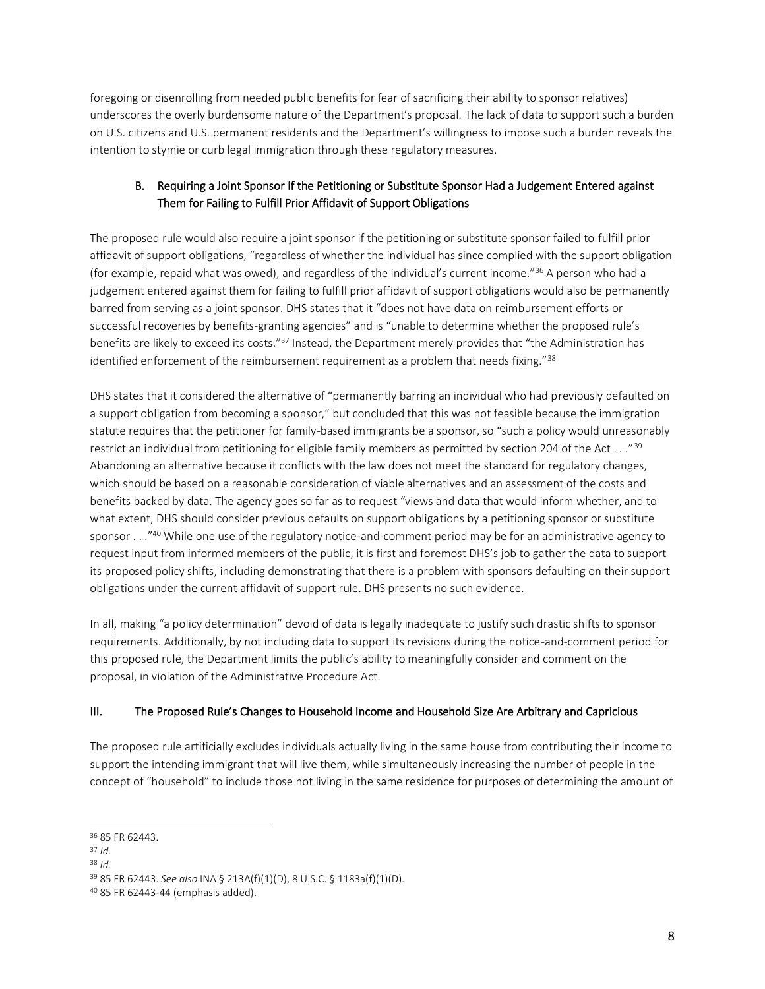foregoing or disenrolling from needed public benefits for fear of sacrificing their ability to sponsor relatives) underscores the overly burdensome nature of the Department's proposal. The lack of data to support such a burden on U.S. citizens and U.S. permanent residents and the Department's willingness to impose such a burden reveals the intention to stymie or curb legal immigration through these regulatory measures.

# B. Requiring a Joint Sponsor If the Petitioning or Substitute Sponsor Had a Judgement Entered against Them for Failing to Fulfill Prior Affidavit of Support Obligations

The proposed rule would also require a joint sponsor if the petitioning or substitute sponsor failed to fulfill prior affidavit of support obligations, "regardless of whether the individual has since complied with the support obligation (for example, repaid what was owed), and regardless of the individual's current income."<sup>36</sup> A person who had a judgement entered against them for failing to fulfill prior affidavit of support obligations would also be permanently barred from serving as a joint sponsor. DHS states that it "does not have data on reimbursement efforts or successful recoveries by benefits-granting agencies" and is "unable to determine whether the proposed rule's benefits are likely to exceed its costs."<sup>37</sup> Instead, the Department merely provides that "the Administration has identified enforcement of the reimbursement requirement as a problem that needs fixing."38

DHS states that it considered the alternative of "permanently barring an individual who had previously defaulted on a support obligation from becoming a sponsor," but concluded that this was not feasible because the immigration statute requires that the petitioner for family-based immigrants be a sponsor, so "such a policy would unreasonably restrict an individual from petitioning for eligible family members as permitted by section 204 of the Act . . ."<sup>39</sup> Abandoning an alternative because it conflicts with the law does not meet the standard for regulatory changes, which should be based on a reasonable consideration of viable alternatives and an assessment of the costs and benefits backed by data. The agency goes so far as to request "views and data that would inform whether, and to what extent, DHS should consider previous defaults on support obligations by a petitioning sponsor or substitute sponsor . . . "<sup>40</sup> While one use of the regulatory notice-and-comment period may be for an administrative agency to request input from informed members of the public, it is first and foremost DHS's job to gather the data to support its proposed policy shifts, including demonstrating that there is a problem with sponsors defaulting on their support obligations under the current affidavit of support rule. DHS presents no such evidence.

In all, making "a policy determination" devoid of data is legally inadequate to justify such drastic shifts to sponsor requirements. Additionally, by not including data to support its revisions during the notice-and-comment period for this proposed rule, the Department limits the public's ability to meaningfully consider and comment on the proposal, in violation of the Administrative Procedure Act.

## III. The Proposed Rule's Changes to Household Income and Household Size Are Arbitrary and Capricious

The proposed rule artificially excludes individuals actually living in the same house from contributing their income to support the intending immigrant that will live them, while simultaneously increasing the number of people in the concept of "household" to include those not living in the same residence for purposes of determining the amount of

<sup>36</sup> 85 FR 62443.

<sup>37</sup> *Id.*

<sup>38</sup> *Id.*

<sup>39</sup> 85 FR 62443. *See also* INA § 213A(f)(1)(D), 8 U.S.C. § 1183a(f)(1)(D).

<sup>40</sup> 85 FR 62443-44 (emphasis added).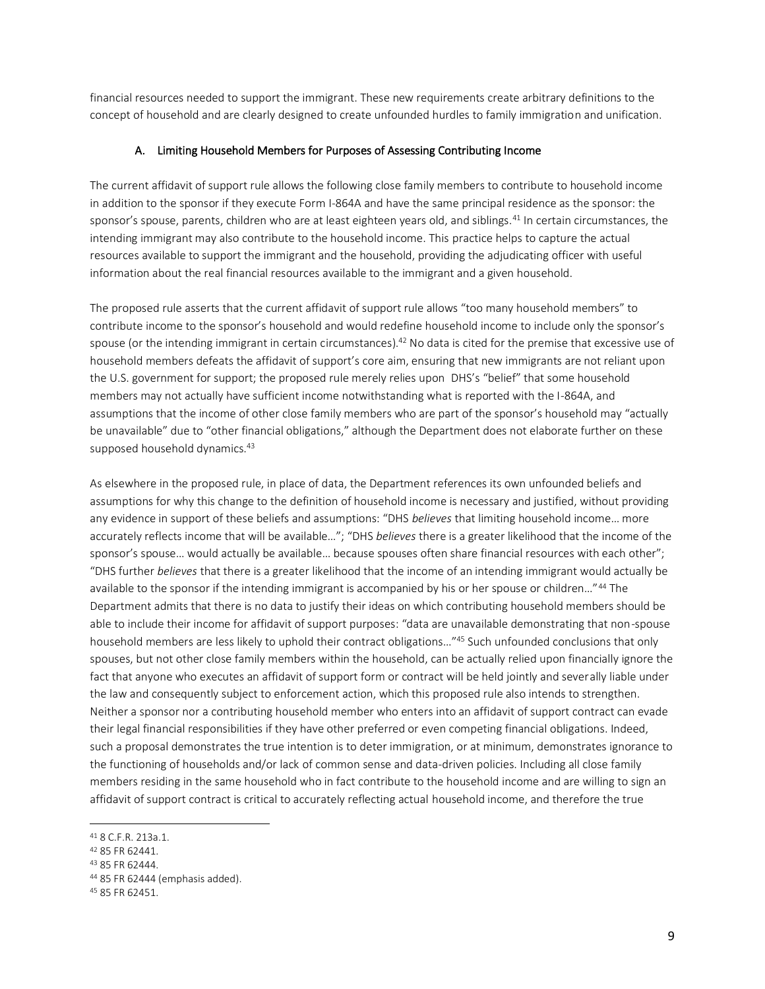financial resources needed to support the immigrant. These new requirements create arbitrary definitions to the concept of household and are clearly designed to create unfounded hurdles to family immigration and unification.

#### A. Limiting Household Members for Purposes of Assessing Contributing Income

The current affidavit of support rule allows the following close family members to contribute to household income in addition to the sponsor if they execute Form I-864A and have the same principal residence as the sponsor: the sponsor's spouse, parents, children who are at least eighteen years old, and siblings.<sup>41</sup> In certain circumstances, the intending immigrant may also contribute to the household income. This practice helps to capture the actual resources available to support the immigrant and the household, providing the adjudicating officer with useful information about the real financial resources available to the immigrant and a given household.

The proposed rule asserts that the current affidavit of support rule allows "too many household members" to contribute income to the sponsor's household and would redefine household income to include only the sponsor's spouse (or the intending immigrant in certain circumstances).<sup>42</sup> No data is cited for the premise that excessive use of household members defeats the affidavit of support's core aim, ensuring that new immigrants are not reliant upon the U.S. government for support; the proposed rule merely relies upon DHS's "belief" that some household members may not actually have sufficient income notwithstanding what is reported with the I-864A, and assumptions that the income of other close family members who are part of the sponsor's household may "actually be unavailable" due to "other financial obligations," although the Department does not elaborate further on these supposed household dynamics.<sup>43</sup>

As elsewhere in the proposed rule, in place of data, the Department references its own unfounded beliefs and assumptions for why this change to the definition of household income is necessary and justified, without providing any evidence in support of these beliefs and assumptions: "DHS *believes* that limiting household income… more accurately reflects income that will be available…"; "DHS *believes* there is a greater likelihood that the income of the sponsor's spouse... would actually be available... because spouses often share financial resources with each other"; "DHS further *believes* that there is a greater likelihood that the income of an intending immigrant would actually be available to the sponsor if the intending immigrant is accompanied by his or her spouse or children…"<sup>44</sup> The Department admits that there is no data to justify their ideas on which contributing household members should be able to include their income for affidavit of support purposes: "data are unavailable demonstrating that non-spouse household members are less likely to uphold their contract obligations…"<sup>45</sup> Such unfounded conclusions that only spouses, but not other close family members within the household, can be actually relied upon financially ignore the fact that anyone who executes an affidavit of support form or contract will be held jointly and severally liable under the law and consequently subject to enforcement action, which this proposed rule also intends to strengthen. Neither a sponsor nor a contributing household member who enters into an affidavit of support contract can evade their legal financial responsibilities if they have other preferred or even competing financial obligations. Indeed, such a proposal demonstrates the true intention is to deter immigration, or at minimum, demonstrates ignorance to the functioning of households and/or lack of common sense and data-driven policies. Including all close family members residing in the same household who in fact contribute to the household income and are willing to sign an affidavit of support contract is critical to accurately reflecting actual household income, and therefore the true

<sup>41</sup> 8 C.F.R. 213a.1.

<sup>42</sup> 85 FR 62441.

<sup>43</sup> 85 FR 62444.

<sup>44</sup> 85 FR 62444 (emphasis added).

<sup>45</sup> 85 FR 62451.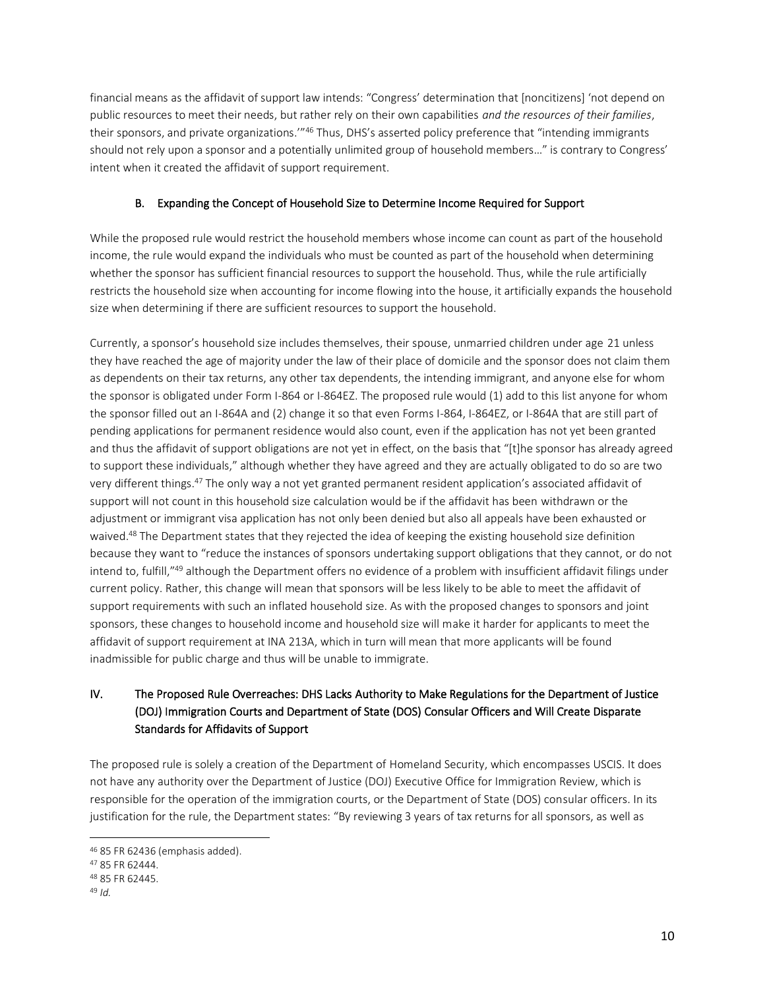financial means as the affidavit of support law intends: "Congress' determination that [noncitizens] 'not depend on public resources to meet their needs, but rather rely on their own capabilities *and the resources of their families*, their sponsors, and private organizations."<sup>46</sup> Thus, DHS's asserted policy preference that "intending immigrants should not rely upon a sponsor and a potentially unlimited group of household members…" is contrary to Congress' intent when it created the affidavit of support requirement.

## B. Expanding the Concept of Household Size to Determine Income Required for Support

While the proposed rule would restrict the household members whose income can count as part of the household income, the rule would expand the individuals who must be counted as part of the household when determining whether the sponsor has sufficient financial resources to support the household. Thus, while the rule artificially restricts the household size when accounting for income flowing into the house, it artificially expands the household size when determining if there are sufficient resources to support the household.

Currently, a sponsor's household size includes themselves, their spouse, unmarried children under age 21 unless they have reached the age of majority under the law of their place of domicile and the sponsor does not claim them as dependents on their tax returns, any other tax dependents, the intending immigrant, and anyone else for whom the sponsor is obligated under Form I-864 or I-864EZ. The proposed rule would (1) add to this list anyone for whom the sponsor filled out an I-864A and (2) change it so that even Forms I-864, I-864EZ, or I-864A that are still part of pending applications for permanent residence would also count, even if the application has not yet been granted and thus the affidavit of support obligations are not yet in effect, on the basis that "[t]he sponsor has already agreed to support these individuals," although whether they have agreed and they are actually obligated to do so are two very different things.<sup>47</sup> The only way a not yet granted permanent resident application's associated affidavit of support will not count in this household size calculation would be if the affidavit has been withdrawn or the adjustment or immigrant visa application has not only been denied but also all appeals have been exhausted or waived.<sup>48</sup> The Department states that they rejected the idea of keeping the existing household size definition because they want to "reduce the instances of sponsors undertaking support obligations that they cannot, or do not intend to, fulfill,"<sup>49</sup> although the Department offers no evidence of a problem with insufficient affidavit filings under current policy. Rather, this change will mean that sponsors will be less likely to be able to meet the affidavit of support requirements with such an inflated household size. As with the proposed changes to sponsors and joint sponsors, these changes to household income and household size will make it harder for applicants to meet the affidavit of support requirement at INA 213A, which in turn will mean that more applicants will be found inadmissible for public charge and thus will be unable to immigrate.

# IV. The Proposed Rule Overreaches: DHS Lacks Authority to Make Regulations for the Department of Justice (DOJ) Immigration Courts and Department of State (DOS) Consular Officers and Will Create Disparate Standards for Affidavits of Support

The proposed rule is solely a creation of the Department of Homeland Security, which encompasses USCIS. It does not have any authority over the Department of Justice (DOJ) Executive Office for Immigration Review, which is responsible for the operation of the immigration courts, or the Department of State (DOS) consular officers. In its justification for the rule, the Department states: "By reviewing 3 years of tax returns for all sponsors, as well as

<sup>46</sup> 85 FR 62436 (emphasis added).

<sup>47</sup> 85 FR 62444.

<sup>48</sup> 85 FR 62445.

<sup>49</sup> *Id.*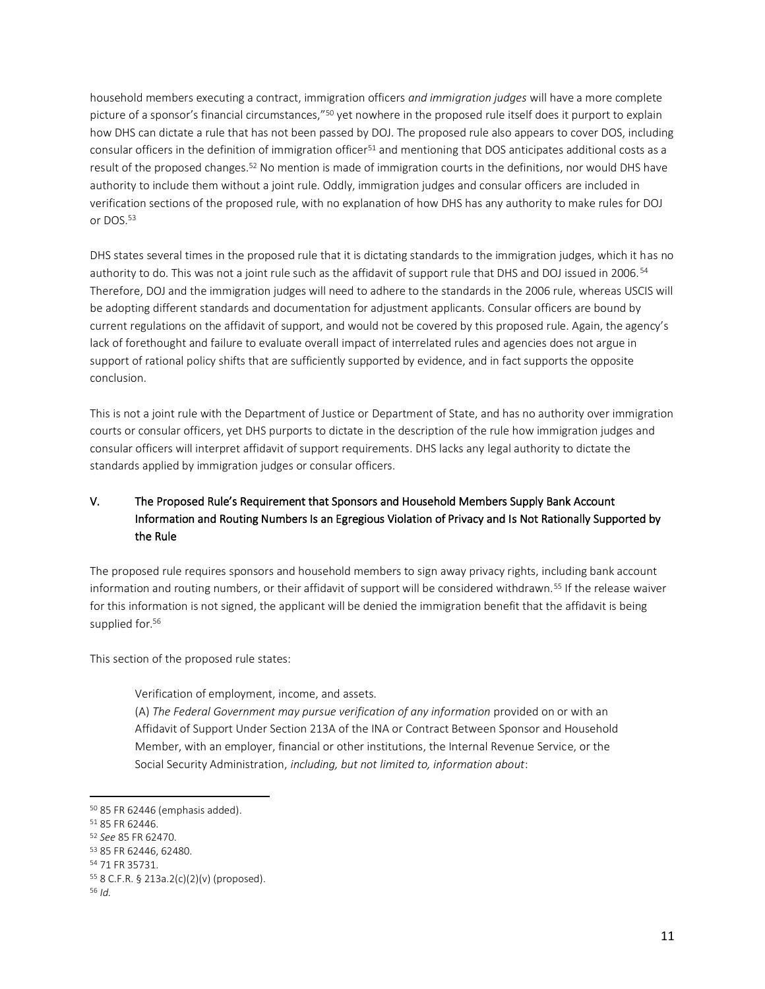household members executing a contract, immigration officers *and immigration judges* will have a more complete picture of a sponsor's financial circumstances,"<sup>50</sup> yet nowhere in the proposed rule itself does it purport to explain how DHS can dictate a rule that has not been passed by DOJ. The proposed rule also appears to cover DOS, including consular officers in the definition of immigration officer<sup>51</sup> and mentioning that DOS anticipates additional costs as a result of the proposed changes.<sup>52</sup> No mention is made of immigration courts in the definitions, nor would DHS have authority to include them without a joint rule. Oddly, immigration judges and consular officers are included in verification sections of the proposed rule, with no explanation of how DHS has any authority to make rules for DOJ or DOS.<sup>53</sup>

DHS states several times in the proposed rule that it is dictating standards to the immigration judges, which it has no authority to do. This was not a joint rule such as the affidavit of support rule that DHS and DOJ issued in 2006.<sup>54</sup> Therefore, DOJ and the immigration judges will need to adhere to the standards in the 2006 rule, whereas USCIS will be adopting different standards and documentation for adjustment applicants. Consular officers are bound by current regulations on the affidavit of support, and would not be covered by this proposed rule. Again, the agency's lack of forethought and failure to evaluate overall impact of interrelated rules and agencies does not argue in support of rational policy shifts that are sufficiently supported by evidence, and in fact supports the opposite conclusion.

This is not a joint rule with the Department of Justice or Department of State, and has no authority over immigration courts or consular officers, yet DHS purports to dictate in the description of the rule how immigration judges and consular officers will interpret affidavit of support requirements. DHS lacks any legal authority to dictate the standards applied by immigration judges or consular officers.

# V. The Proposed Rule's Requirement that Sponsors and Household Members Supply Bank Account Information and Routing Numbers Is an Egregious Violation of Privacy and Is Not Rationally Supported by the Rule

The proposed rule requires sponsors and household members to sign away privacy rights, including bank account information and routing numbers, or their affidavit of support will be considered withdrawn.<sup>55</sup> If the release waiver for this information is not signed, the applicant will be denied the immigration benefit that the affidavit is being supplied for.<sup>56</sup>

This section of the proposed rule states:

Verification of employment, income, and assets.

(A) *The Federal Government may pursue verification of any information* provided on or with an Affidavit of Support Under Section 213A of the INA or Contract Between Sponsor and Household Member, with an employer, financial or other institutions, the Internal Revenue Service, or the Social Security Administration, *including, but not limited to, information about*:

<sup>50</sup> 85 FR 62446 (emphasis added).

<sup>51</sup> 85 FR 62446.

<sup>52</sup> *See* 85 FR 62470.

<sup>53</sup> 85 FR 62446, 62480.

<sup>54</sup> 71 FR 35731.

<sup>55</sup> 8 C.F.R. § 213a.2(c)(2)(v) (proposed).

<sup>56</sup> *Id.*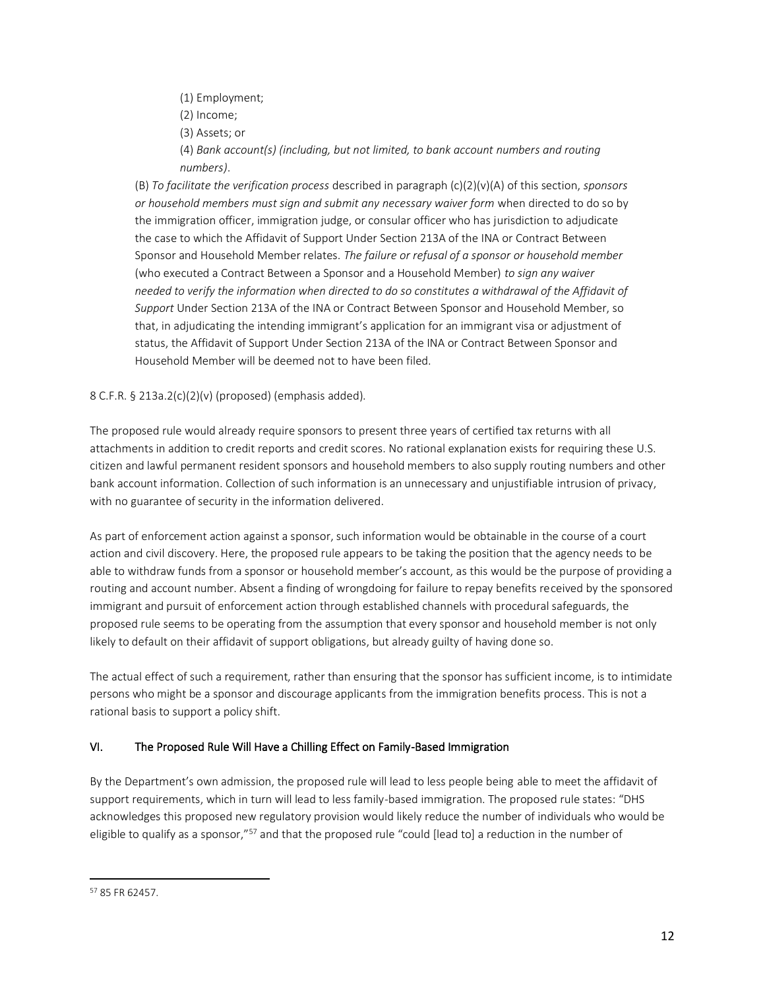- (1) Employment;
- (2) Income;
- (3) Assets; or

(4) *Bank account(s) (including, but not limited, to bank account numbers and routing numbers)*.

(B) *To facilitate the verification process* described in paragraph (c)(2)(v)(A) of this section, *sponsors or household members must sign and submit any necessary waiver form* when directed to do so by the immigration officer, immigration judge, or consular officer who has jurisdiction to adjudicate the case to which the Affidavit of Support Under Section 213A of the INA or Contract Between Sponsor and Household Member relates. *The failure or refusal of a sponsor or household member* (who executed a Contract Between a Sponsor and a Household Member) *to sign any waiver needed to verify the information when directed to do so constitutes a withdrawal of the Affidavit of Support* Under Section 213A of the INA or Contract Between Sponsor and Household Member, so that, in adjudicating the intending immigrant's application for an immigrant visa or adjustment of status, the Affidavit of Support Under Section 213A of the INA or Contract Between Sponsor and Household Member will be deemed not to have been filed.

## 8 C.F.R. § 213a.2(c)(2)(v) (proposed) (emphasis added).

The proposed rule would already require sponsors to present three years of certified tax returns with all attachments in addition to credit reports and credit scores. No rational explanation exists for requiring these U.S. citizen and lawful permanent resident sponsors and household members to also supply routing numbers and other bank account information. Collection of such information is an unnecessary and unjustifiable intrusion of privacy, with no guarantee of security in the information delivered.

As part of enforcement action against a sponsor, such information would be obtainable in the course of a court action and civil discovery. Here, the proposed rule appears to be taking the position that the agency needs to be able to withdraw funds from a sponsor or household member's account, as this would be the purpose of providing a routing and account number. Absent a finding of wrongdoing for failure to repay benefits received by the sponsored immigrant and pursuit of enforcement action through established channels with procedural safeguards, the proposed rule seems to be operating from the assumption that every sponsor and household member is not only likely to default on their affidavit of support obligations, but already guilty of having done so.

The actual effect of such a requirement, rather than ensuring that the sponsor has sufficient income, is to intimidate persons who might be a sponsor and discourage applicants from the immigration benefits process. This is not a rational basis to support a policy shift.

### VI. The Proposed Rule Will Have a Chilling Effect on Family-Based Immigration

By the Department's own admission, the proposed rule will lead to less people being able to meet the affidavit of support requirements, which in turn will lead to less family-based immigration. The proposed rule states: "DHS acknowledges this proposed new regulatory provision would likely reduce the number of individuals who would be eligible to qualify as a sponsor,"<sup>57</sup> and that the proposed rule "could [lead to] a reduction in the number of

<sup>57</sup> 85 FR 62457.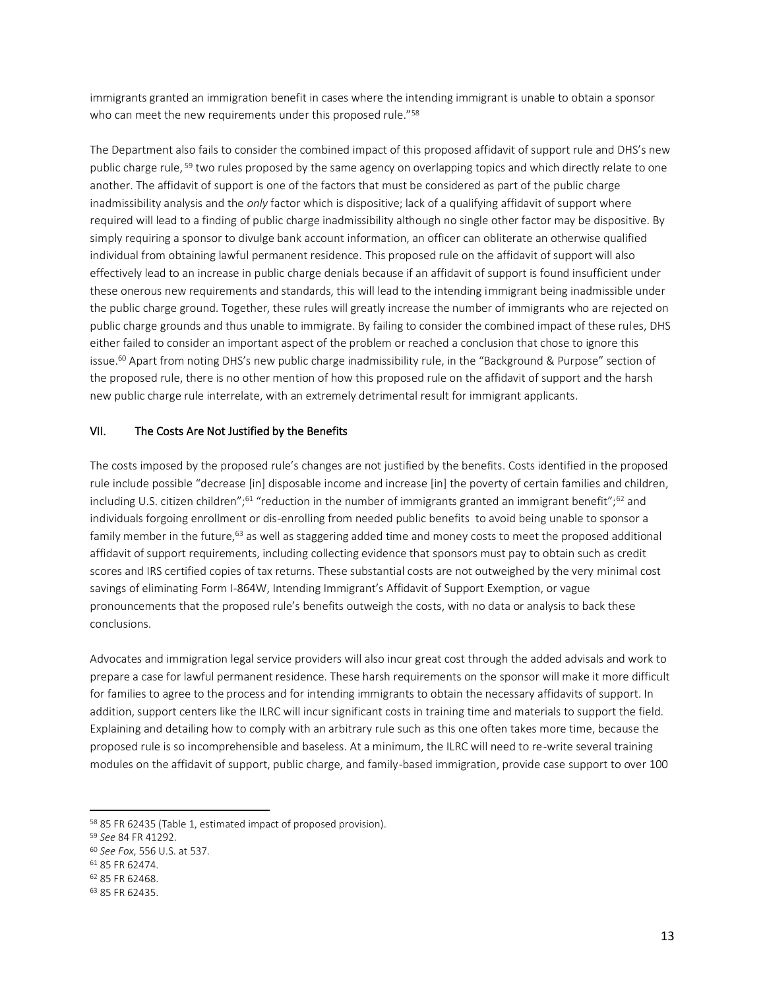immigrants granted an immigration benefit in cases where the intending immigrant is unable to obtain a sponsor who can meet the new requirements under this proposed rule."<sup>58</sup>

The Department also fails to consider the combined impact of this proposed affidavit of support rule and DHS's new public charge rule, <sup>59</sup> two rules proposed by the same agency on overlapping topics and which directly relate to one another. The affidavit of support is one of the factors that must be considered as part of the public charge inadmissibility analysis and the *only* factor which is dispositive; lack of a qualifying affidavit of support where required will lead to a finding of public charge inadmissibility although no single other factor may be dispositive. By simply requiring a sponsor to divulge bank account information, an officer can obliterate an otherwise qualified individual from obtaining lawful permanent residence. This proposed rule on the affidavit of support will also effectively lead to an increase in public charge denials because if an affidavit of support is found insufficient under these onerous new requirements and standards, this will lead to the intending immigrant being inadmissible under the public charge ground. Together, these rules will greatly increase the number of immigrants who are rejected on public charge grounds and thus unable to immigrate. By failing to consider the combined impact of these rules, DHS either failed to consider an important aspect of the problem or reached a conclusion that chose to ignore this issue.<sup>60</sup> Apart from noting DHS's new public charge inadmissibility rule, in the "Background & Purpose" section of the proposed rule, there is no other mention of how this proposed rule on the affidavit of support and the harsh new public charge rule interrelate, with an extremely detrimental result for immigrant applicants.

#### VII. The Costs Are Not Justified by the Benefits

The costs imposed by the proposed rule's changes are not justified by the benefits. Costs identified in the proposed rule include possible "decrease [in] disposable income and increase [in] the poverty of certain families and children, including U.S. citizen children";<sup>61</sup> "reduction in the number of immigrants granted an immigrant benefit";<sup>62</sup> and individuals forgoing enrollment or dis-enrolling from needed public benefits to avoid being unable to sponsor a family member in the future,<sup>63</sup> as well as staggering added time and money costs to meet the proposed additional affidavit of support requirements, including collecting evidence that sponsors must pay to obtain such as credit scores and IRS certified copies of tax returns. These substantial costs are not outweighed by the very minimal cost savings of eliminating Form I-864W, Intending Immigrant's Affidavit of Support Exemption, or vague pronouncements that the proposed rule's benefits outweigh the costs, with no data or analysis to back these conclusions.

Advocates and immigration legal service providers will also incur great cost through the added advisals and work to prepare a case for lawful permanent residence. These harsh requirements on the sponsor will make it more difficult for families to agree to the process and for intending immigrants to obtain the necessary affidavits of support. In addition, support centers like the ILRC will incur significant costs in training time and materials to support the field. Explaining and detailing how to comply with an arbitrary rule such as this one often takes more time, because the proposed rule is so incomprehensible and baseless. At a minimum, the ILRC will need to re-write several training modules on the affidavit of support, public charge, and family-based immigration, provide case support to over 100

<sup>58</sup> 85 FR 62435 (Table 1, estimated impact of proposed provision).

<sup>59</sup> *See* 84 FR 41292.

<sup>60</sup> *See Fox*, 556 U.S. at 537.

<sup>61</sup> 85 FR 62474.

<sup>62</sup> 85 FR 62468.

<sup>63</sup> 85 FR 62435.